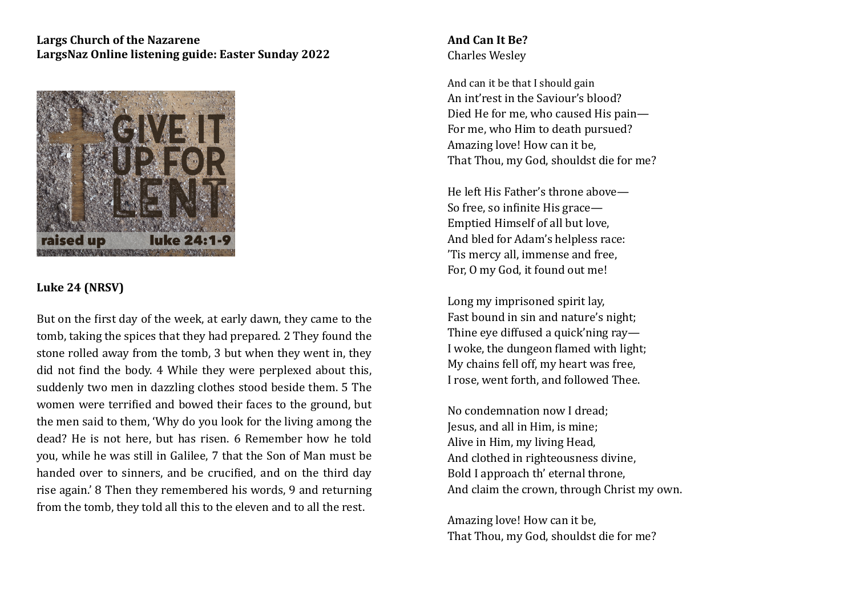## Largs Church of the Nazarene LargsNaz Online listening guide: Easter Sunday 2022



## **Luke 24 (NRSV)**

But on the first day of the week, at early dawn, they came to the tomb, taking the spices that they had prepared. 2 They found the stone rolled away from the tomb, 3 but when they went in, they did not find the body. 4 While they were perplexed about this, suddenly two men in dazzling clothes stood beside them. 5 The women were terrified and bowed their faces to the ground, but the men said to them, 'Why do you look for the living among the dead? He is not here, but has risen. 6 Remember how he told you, while he was still in Galilee, 7 that the Son of Man must be handed over to sinners, and be crucified, and on the third day rise again.' 8 Then they remembered his words, 9 and returning from the tomb, they told all this to the eleven and to all the rest.

## **And Can It Be?** Charles Wesley

And can it be that I should gain An int'rest in the Saviour's blood? Died He for me, who caused His pain— For me, who Him to death pursued? Amazing love! How can it be, That Thou, my God, shouldst die for me?

He left His Father's throne above— So free, so infinite His grace— Emptied Himself of all but love. And bled for Adam's helpless race: 'Tis mercy all, immense and free. For, O my God, it found out me!

Long my imprisoned spirit lay, Fast bound in sin and nature's night: Thine eye diffused a quick'ning ray— I woke, the dungeon flamed with light; My chains fell off, my heart was free, I rose, went forth, and followed Thee.

No condemnation now I dread: Jesus, and all in Him, is mine: Alive in Him, my living Head, And clothed in righteousness divine, Bold I approach th' eternal throne, And claim the crown, through Christ my own.

Amazing love! How can it be, That Thou, my God, shouldst die for me?